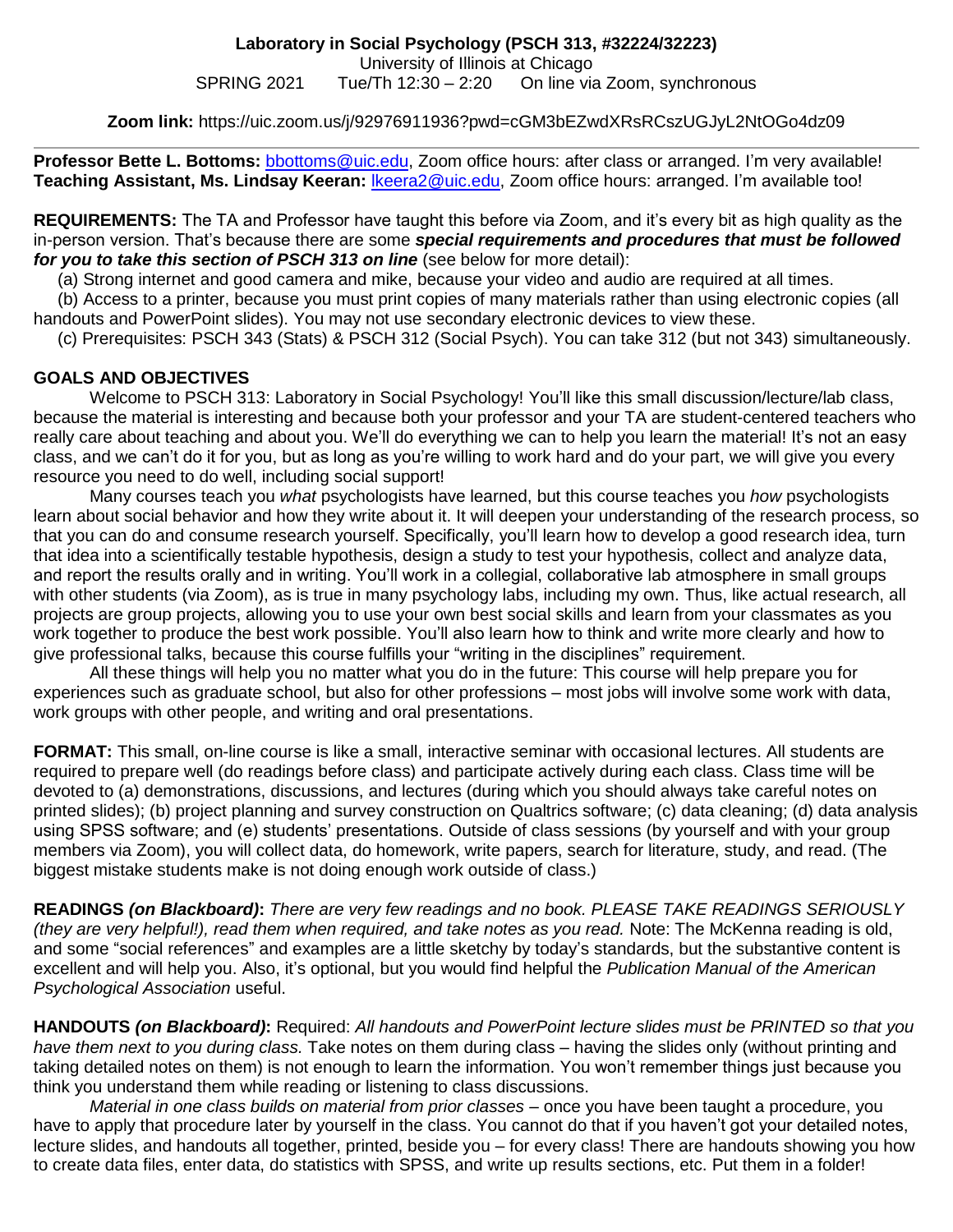#### **Zoom link:** https://uic.zoom.us/j/92976911936?pwd=cGM3bEZwdXRsRCszUGJyL2NtOGo4dz09

**Professor Bette L. Bottoms:** [bbottoms@uic.edu,](mailto:bbottoms@uic.edu) Zoom office hours: after class or arranged. I'm very available! **Teaching Assistant, Ms. Lindsay Keeran:** [lkeera2@uic.edu,](mailto:lkeera2@uic.edu) Zoom office hours: arranged. I'm available too!

**REQUIREMENTS:** The TA and Professor have taught this before via Zoom, and it's every bit as high quality as the in-person version. That's because there are some *special requirements and procedures that must be followed for you to take this section of PSCH 313 on line* (see below for more detail):

(a) Strong internet and good camera and mike, because your video and audio are required at all times.

 (b) Access to a printer, because you must print copies of many materials rather than using electronic copies (all handouts and PowerPoint slides). You may not use secondary electronic devices to view these.

(c) Prerequisites: PSCH 343 (Stats) & PSCH 312 (Social Psych). You can take 312 (but not 343) simultaneously.

### **GOALS AND OBJECTIVES**

Welcome to PSCH 313: Laboratory in Social Psychology! You'll like this small discussion/lecture/lab class, because the material is interesting and because both your professor and your TA are student-centered teachers who really care about teaching and about you. We'll do everything we can to help you learn the material! It's not an easy class, and we can't do it for you, but as long as you're willing to work hard and do your part, we will give you every resource you need to do well, including social support!

Many courses teach you *what* psychologists have learned, but this course teaches you *how* psychologists learn about social behavior and how they write about it. It will deepen your understanding of the research process, so that you can do and consume research yourself. Specifically, you'll learn how to develop a good research idea, turn that idea into a scientifically testable hypothesis, design a study to test your hypothesis, collect and analyze data, and report the results orally and in writing. You'll work in a collegial, collaborative lab atmosphere in small groups with other students (via Zoom), as is true in many psychology labs, including my own. Thus, like actual research, all projects are group projects, allowing you to use your own best social skills and learn from your classmates as you work together to produce the best work possible. You'll also learn how to think and write more clearly and how to give professional talks, because this course fulfills your "writing in the disciplines" requirement.

All these things will help you no matter what you do in the future: This course will help prepare you for experiences such as graduate school, but also for other professions – most jobs will involve some work with data, work groups with other people, and writing and oral presentations.

**FORMAT:** This small, on-line course is like a small, interactive seminar with occasional lectures. All students are required to prepare well (do readings before class) and participate actively during each class. Class time will be devoted to (a) demonstrations, discussions, and lectures (during which you should always take careful notes on printed slides); (b) project planning and survey construction on Qualtrics software; (c) data cleaning; (d) data analysis using SPSS software; and (e) students' presentations. Outside of class sessions (by yourself and with your group members via Zoom), you will collect data, do homework, write papers, search for literature, study, and read. (The biggest mistake students make is not doing enough work outside of class.)

**READINGS** *(on Blackboard)***:** *There are very few readings and no book. PLEASE TAKE READINGS SERIOUSLY (they are very helpful!), read them when required, and take notes as you read.* Note: The McKenna reading is old, and some "social references" and examples are a little sketchy by today's standards, but the substantive content is excellent and will help you. Also, it's optional, but you would find helpful the *Publication Manual of the American Psychological Association* useful.

**HANDOUTS** *(on Blackboard)***:** Required: *All handouts and PowerPoint lecture slides must be PRINTED so that you have them next to you during class.* Take notes on them during class – having the slides only (without printing and taking detailed notes on them) is not enough to learn the information. You won't remember things just because you think you understand them while reading or listening to class discussions.

*Material in one class builds on material from prior classes* – once you have been taught a procedure, you have to apply that procedure later by yourself in the class. You cannot do that if you haven't got your detailed notes, lecture slides, and handouts all together, printed, beside you – for every class! There are handouts showing you how to create data files, enter data, do statistics with SPSS, and write up results sections, etc. Put them in a folder!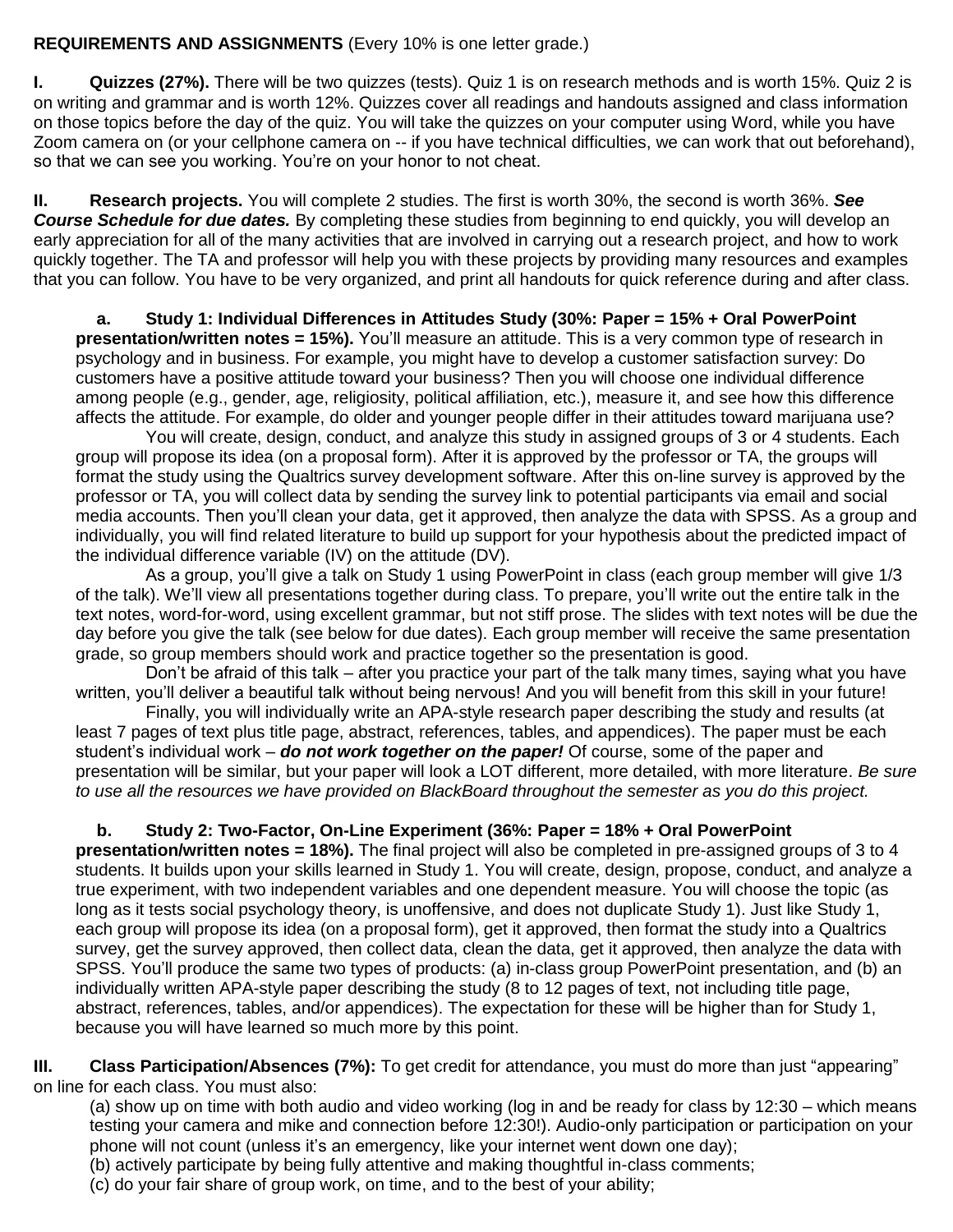## **REQUIREMENTS AND ASSIGNMENTS** (Every 10% is one letter grade.)

**I. Quizzes (27%).** There will be two quizzes (tests). Quiz 1 is on research methods and is worth 15%. Quiz 2 is on writing and grammar and is worth 12%. Quizzes cover all readings and handouts assigned and class information on those topics before the day of the quiz. You will take the quizzes on your computer using Word, while you have Zoom camera on (or your cellphone camera on -- if you have technical difficulties, we can work that out beforehand), so that we can see you working. You're on your honor to not cheat.

**II. Research projects.** You will complete 2 studies. The first is worth 30%, the second is worth 36%. *See Course Schedule for due dates.* By completing these studies from beginning to end quickly, you will develop an early appreciation for all of the many activities that are involved in carrying out a research project, and how to work quickly together. The TA and professor will help you with these projects by providing many resources and examples that you can follow. You have to be very organized, and print all handouts for quick reference during and after class.

**a. Study 1: Individual Differences in Attitudes Study (30%: Paper = 15% + Oral PowerPoint presentation/written notes = 15%).** You'll measure an attitude. This is a very common type of research in psychology and in business. For example, you might have to develop a customer satisfaction survey: Do customers have a positive attitude toward your business? Then you will choose one individual difference among people (e.g., gender, age, religiosity, political affiliation, etc.), measure it, and see how this difference affects the attitude. For example, do older and younger people differ in their attitudes toward marijuana use?

You will create, design, conduct, and analyze this study in assigned groups of 3 or 4 students. Each group will propose its idea (on a proposal form). After it is approved by the professor or TA, the groups will format the study using the Qualtrics survey development software. After this on-line survey is approved by the professor or TA, you will collect data by sending the survey link to potential participants via email and social media accounts. Then you'll clean your data, get it approved, then analyze the data with SPSS. As a group and individually, you will find related literature to build up support for your hypothesis about the predicted impact of the individual difference variable (IV) on the attitude (DV).

As a group, you'll give a talk on Study 1 using PowerPoint in class (each group member will give 1/3 of the talk). We'll view all presentations together during class. To prepare, you'll write out the entire talk in the text notes, word-for-word, using excellent grammar, but not stiff prose. The slides with text notes will be due the day before you give the talk (see below for due dates). Each group member will receive the same presentation grade, so group members should work and practice together so the presentation is good.

 Don't be afraid of this talk – after you practice your part of the talk many times, saying what you have written, you'll deliver a beautiful talk without being nervous! And you will benefit from this skill in your future!

Finally, you will individually write an APA-style research paper describing the study and results (at least 7 pages of text plus title page, abstract, references, tables, and appendices). The paper must be each student's individual work – *do not work together on the paper!* Of course, some of the paper and presentation will be similar, but your paper will look a LOT different, more detailed, with more literature. *Be sure to use all the resources we have provided on BlackBoard throughout the semester as you do this project.*

## **b. Study 2: Two-Factor, On-Line Experiment (36%: Paper = 18% + Oral PowerPoint**

**presentation/written notes = 18%).** The final project will also be completed in pre-assigned groups of 3 to 4 students. It builds upon your skills learned in Study 1. You will create, design, propose, conduct, and analyze a true experiment, with two independent variables and one dependent measure. You will choose the topic (as long as it tests social psychology theory, is unoffensive, and does not duplicate Study 1). Just like Study 1, each group will propose its idea (on a proposal form), get it approved, then format the study into a Qualtrics survey, get the survey approved, then collect data, clean the data, get it approved, then analyze the data with SPSS. You'll produce the same two types of products: (a) in-class group PowerPoint presentation, and (b) an individually written APA-style paper describing the study (8 to 12 pages of text, not including title page, abstract, references, tables, and/or appendices). The expectation for these will be higher than for Study 1, because you will have learned so much more by this point.

**III. Class Participation/Absences (7%):** To get credit for attendance, you must do more than just "appearing" on line for each class. You must also:

(a) show up on time with both audio and video working (log in and be ready for class by 12:30 – which means testing your camera and mike and connection before 12:30!). Audio-only participation or participation on your phone will not count (unless it's an emergency, like your internet went down one day);

(b) actively participate by being fully attentive and making thoughtful in-class comments;

(c) do your fair share of group work, on time, and to the best of your ability;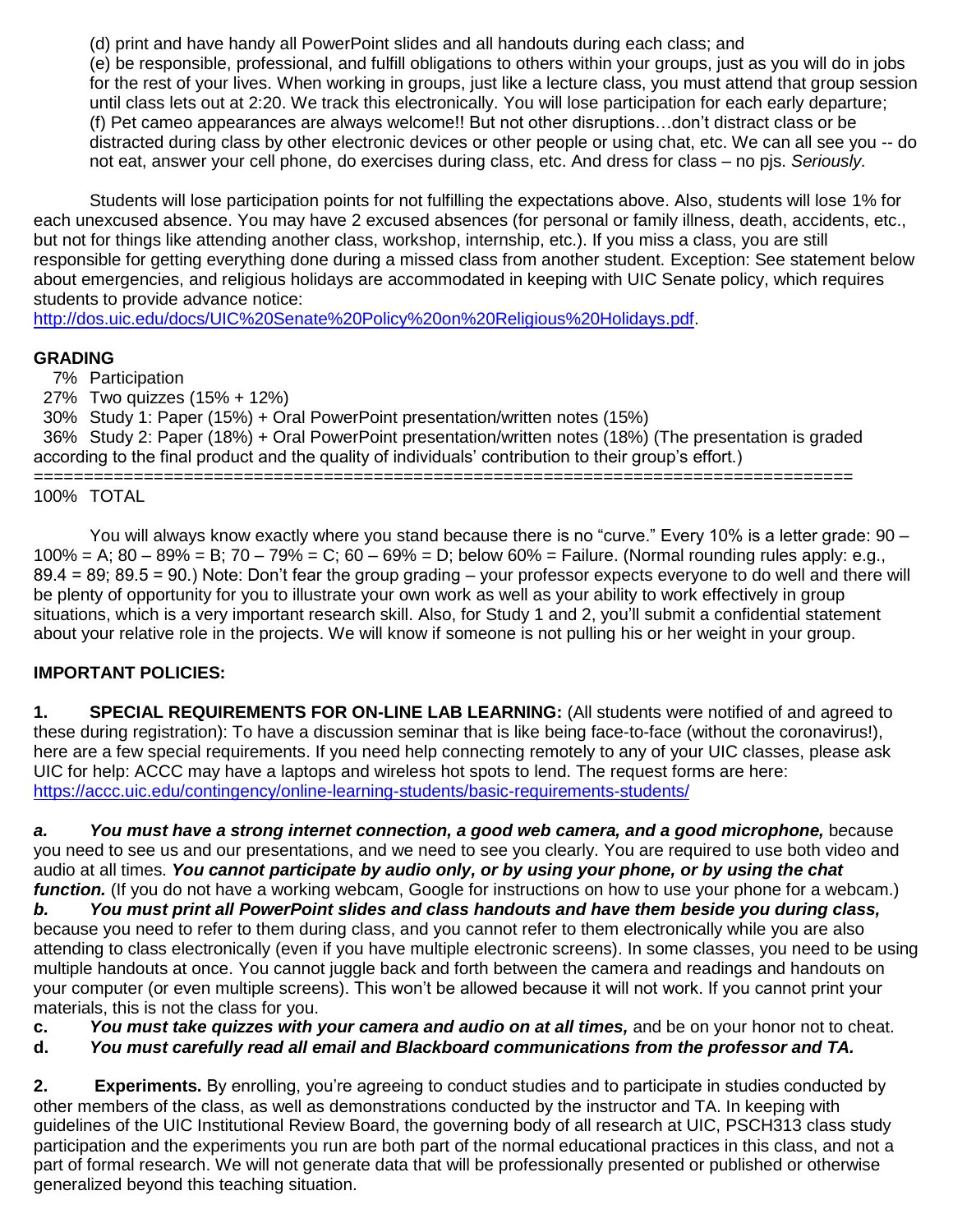(d) print and have handy all PowerPoint slides and all handouts during each class; and (e) be responsible, professional, and fulfill obligations to others within your groups, just as you will do in jobs for the rest of your lives. When working in groups, just like a lecture class, you must attend that group session until class lets out at 2:20. We track this electronically. You will lose participation for each early departure; (f) Pet cameo appearances are always welcome!! But not other disruptions…don't distract class or be distracted during class by other electronic devices or other people or using chat, etc. We can all see you -- do not eat, answer your cell phone, do exercises during class, etc. And dress for class – no pjs. *Seriously.*

Students will lose participation points for not fulfilling the expectations above. Also, students will lose 1% for each unexcused absence. You may have 2 excused absences (for personal or family illness, death, accidents, etc., but not for things like attending another class, workshop, internship, etc.). If you miss a class, you are still responsible for getting everything done during a missed class from another student. Exception: See statement below about emergencies, and religious holidays are accommodated in keeping with UIC Senate policy, which requires students to provide advance notice:

[http://dos.uic.edu/docs/UIC%20Senate%20Policy%20on%20Religious%20Holidays.pdf.](http://dos.uic.edu/docs/UIC%20Senate%20Policy%20on%20Religious%20Holidays.pdf)

### **GRADING**

7% Participation

27% Two quizzes (15% + 12%)

 30% Study 1: Paper (15%) + Oral PowerPoint presentation/written notes (15%) 36% Study 2: Paper (18%) + Oral PowerPoint presentation/written notes (18%) (The presentation is graded according to the final product and the quality of individuals' contribution to their group's effort.)

==================================================================================

### 100% TOTAL

You will always know exactly where you stand because there is no "curve." Every 10% is a letter grade: 90 – 100% = A; 80 – 89% = B; 70 – 79% = C; 60 – 69% = D; below 60% = Failure. (Normal rounding rules apply: e.g., 89.4 = 89; 89.5 = 90.) Note: Don't fear the group grading – your professor expects everyone to do well and there will be plenty of opportunity for you to illustrate your own work as well as your ability to work effectively in group situations, which is a very important research skill. Also, for Study 1 and 2, you'll submit a confidential statement about your relative role in the projects. We will know if someone is not pulling his or her weight in your group.

## **IMPORTANT POLICIES:**

**1. SPECIAL REQUIREMENTS FOR ON-LINE LAB LEARNING:** (All students were notified of and agreed to these during registration): To have a discussion seminar that is like being face-to-face (without the coronavirus!), here are a few special requirements. If you need help connecting remotely to any of your UIC classes, please ask UIC for help: ACCC may have a laptops and wireless hot spots to lend. The request forms are here: <https://accc.uic.edu/contingency/online-learning-students/basic-requirements-students/>

*a. You must have a strong internet connection, a good web camera, and a good microphone,* b*e*cause you need to see us and our presentations, and we need to see you clearly. You are required to use both video and audio at all times. *You cannot participate by audio only, or by using your phone, or by using the chat function.* (If you do not have a working webcam, Google for instructions on how to use your phone for a webcam.)

*b. You must print all PowerPoint slides and class handouts and have them beside you during class,* because you need to refer to them during class, and you cannot refer to them electronically while you are also attending to class electronically (even if you have multiple electronic screens). In some classes, you need to be using multiple handouts at once. You cannot juggle back and forth between the camera and readings and handouts on your computer (or even multiple screens). This won't be allowed because it will not work. If you cannot print your materials, this is not the class for you.

**c.** *You must take quizzes with your camera and audio on at all times,* and be on your honor not to cheat.

**d.** *You must carefully read all email and Blackboard communications from the professor and TA.* 

**2. Experiments.** By enrolling, you're agreeing to conduct studies and to participate in studies conducted by other members of the class, as well as demonstrations conducted by the instructor and TA. In keeping with guidelines of the UIC Institutional Review Board, the governing body of all research at UIC, PSCH313 class study participation and the experiments you run are both part of the normal educational practices in this class, and not a part of formal research. We will not generate data that will be professionally presented or published or otherwise generalized beyond this teaching situation.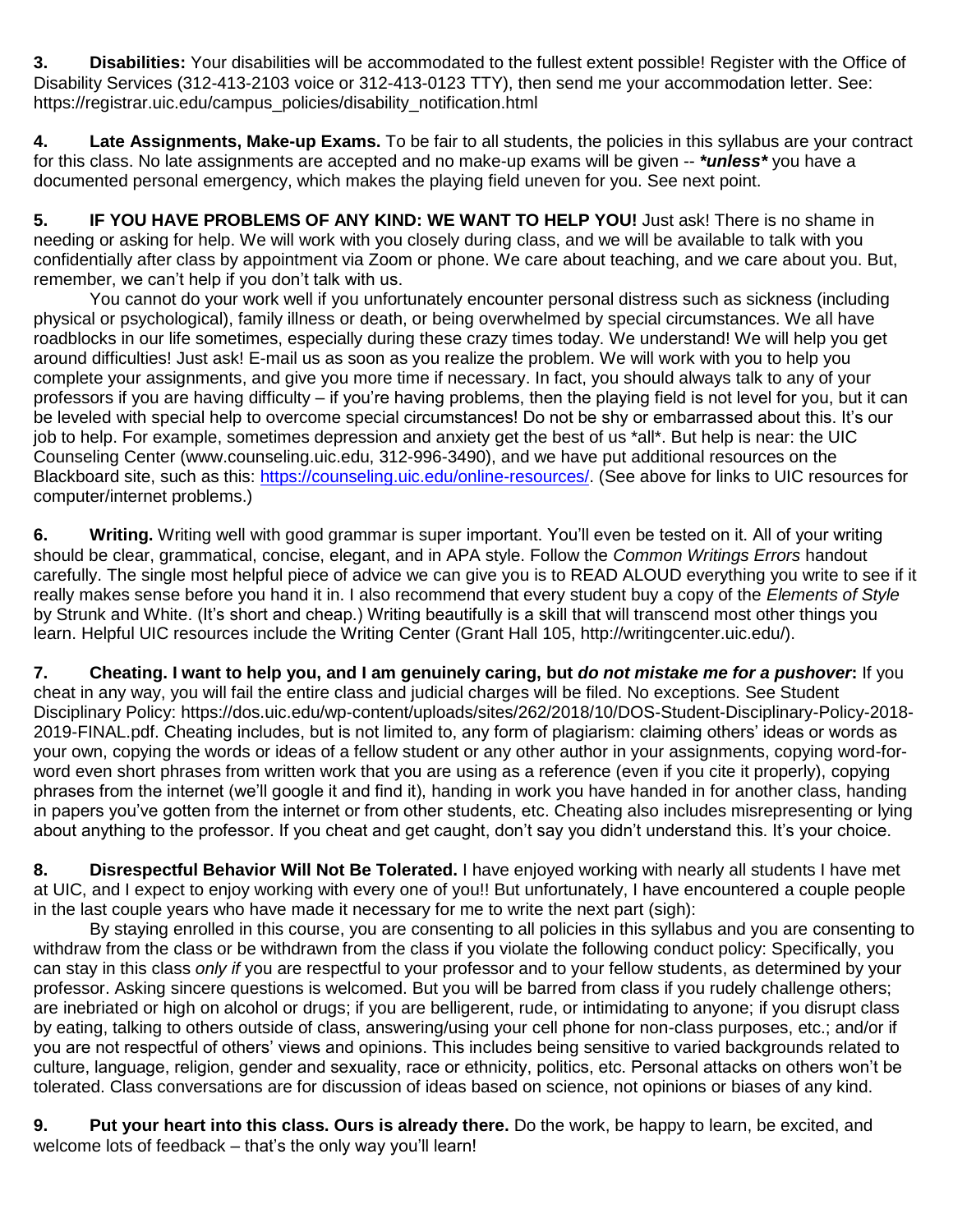**3. Disabilities:** Your disabilities will be accommodated to the fullest extent possible! Register with the Office of Disability Services (312-413-2103 voice or 312-413-0123 TTY), then send me your accommodation letter. See: https://registrar.uic.edu/campus\_policies/disability\_notification.html

**4. Late Assignments, Make-up Exams.** To be fair to all students, the policies in this syllabus are your contract for this class. No late assignments are accepted and no make-up exams will be given -- *\*unless\** you have a documented personal emergency, which makes the playing field uneven for you. See next point.

**5. IF YOU HAVE PROBLEMS OF ANY KIND: WE WANT TO HELP YOU!** Just ask! There is no shame in needing or asking for help. We will work with you closely during class, and we will be available to talk with you confidentially after class by appointment via Zoom or phone. We care about teaching, and we care about you. But, remember, we can't help if you don't talk with us.

You cannot do your work well if you unfortunately encounter personal distress such as sickness (including physical or psychological), family illness or death, or being overwhelmed by special circumstances. We all have roadblocks in our life sometimes, especially during these crazy times today. We understand! We will help you get around difficulties! Just ask! E-mail us as soon as you realize the problem. We will work with you to help you complete your assignments, and give you more time if necessary. In fact, you should always talk to any of your professors if you are having difficulty – if you're having problems, then the playing field is not level for you, but it can be leveled with special help to overcome special circumstances! Do not be shy or embarrassed about this. It's our job to help. For example, sometimes depression and anxiety get the best of us \*all\*. But help is near: the UIC Counseling Center (www.counseling.uic.edu, 312-996-3490), and we have put additional resources on the Blackboard site, such as this: [https://counseling.uic.edu/online-resources/.](https://counseling.uic.edu/online-resources/) (See above for links to UIC resources for computer/internet problems.)

**6. Writing.** Writing well with good grammar is super important. You'll even be tested on it. All of your writing should be clear, grammatical, concise, elegant, and in APA style. Follow the *Common Writings Errors* handout carefully. The single most helpful piece of advice we can give you is to READ ALOUD everything you write to see if it really makes sense before you hand it in. I also recommend that every student buy a copy of the *Elements of Style* by Strunk and White. (It's short and cheap.) Writing beautifully is a skill that will transcend most other things you learn. Helpful UIC resources include the Writing Center (Grant Hall 105, http://writingcenter.uic.edu/).

**7. Cheating. I want to help you, and I am genuinely caring, but** *do not mistake me for a pushover***:** If you cheat in any way, you will fail the entire class and judicial charges will be filed. No exceptions. See Student Disciplinary Policy: https://dos.uic.edu/wp-content/uploads/sites/262/2018/10/DOS-Student-Disciplinary-Policy-2018- 2019-FINAL.pdf. Cheating includes, but is not limited to, any form of plagiarism: claiming others' ideas or words as your own, copying the words or ideas of a fellow student or any other author in your assignments, copying word-forword even short phrases from written work that you are using as a reference (even if you cite it properly), copying phrases from the internet (we'll google it and find it), handing in work you have handed in for another class, handing in papers you've gotten from the internet or from other students, etc. Cheating also includes misrepresenting or lying about anything to the professor. If you cheat and get caught, don't say you didn't understand this. It's your choice.

**8. Disrespectful Behavior Will Not Be Tolerated.** I have enjoyed working with nearly all students I have met at UIC, and I expect to enjoy working with every one of you!! But unfortunately, I have encountered a couple people in the last couple years who have made it necessary for me to write the next part (sigh):

By staying enrolled in this course, you are consenting to all policies in this syllabus and you are consenting to withdraw from the class or be withdrawn from the class if you violate the following conduct policy: Specifically, you can stay in this class *only if* you are respectful to your professor and to your fellow students, as determined by your professor. Asking sincere questions is welcomed. But you will be barred from class if you rudely challenge others; are inebriated or high on alcohol or drugs; if you are belligerent, rude, or intimidating to anyone; if you disrupt class by eating, talking to others outside of class, answering/using your cell phone for non-class purposes, etc.; and/or if you are not respectful of others' views and opinions. This includes being sensitive to varied backgrounds related to culture, language, religion, gender and sexuality, race or ethnicity, politics, etc. Personal attacks on others won't be tolerated. Class conversations are for discussion of ideas based on science, not opinions or biases of any kind.

**9. Put your heart into this class. Ours is already there.** Do the work, be happy to learn, be excited, and welcome lots of feedback – that's the only way you'll learn!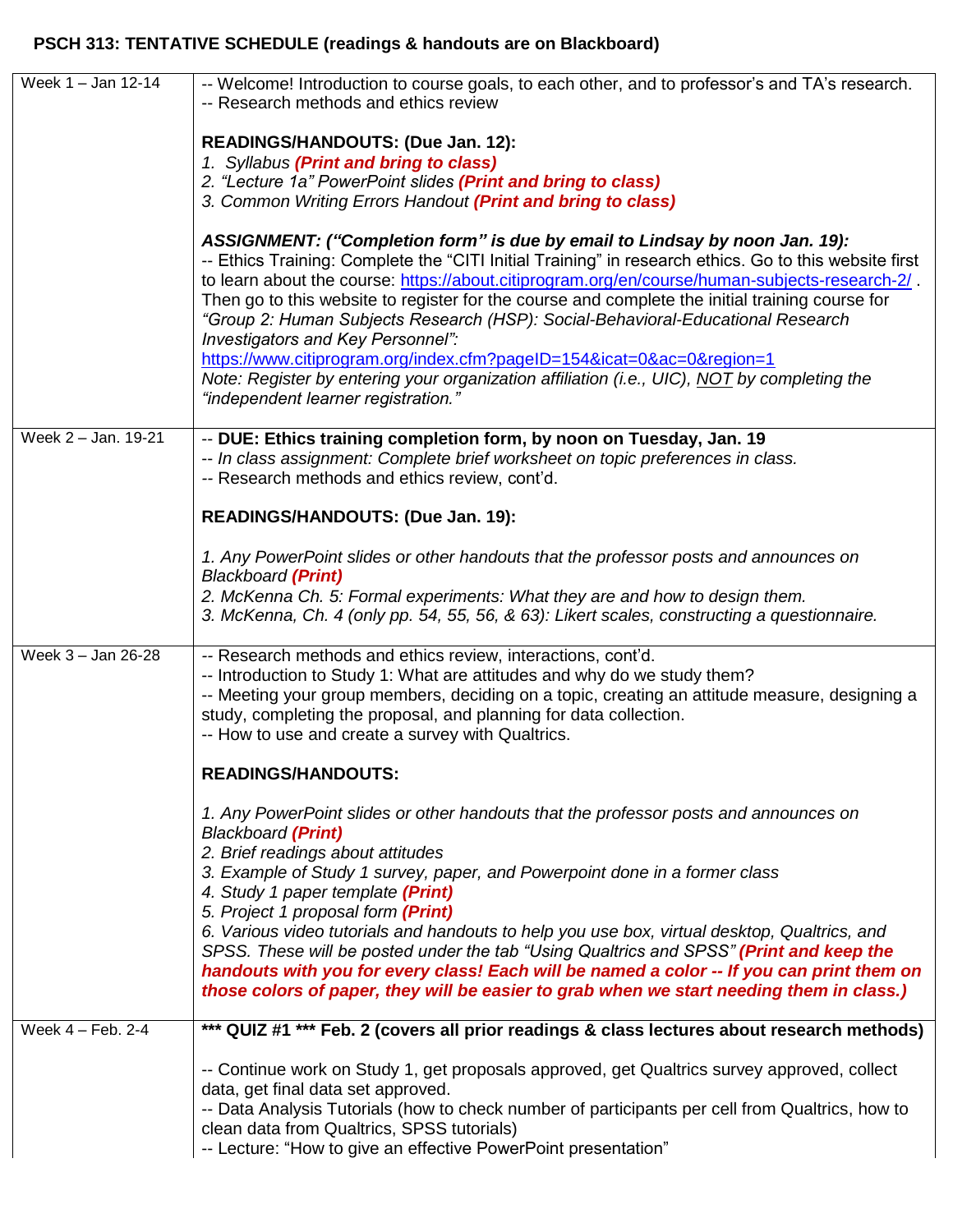# **PSCH 313: TENTATIVE SCHEDULE (readings & handouts are on Blackboard)**

| Week 1 - Jan 12-14  | -- Welcome! Introduction to course goals, to each other, and to professor's and TA's research.<br>-- Research methods and ethics review                                                                                                                                                                                                                                                                                                                                                                                                                                                                                                                                                                                        |
|---------------------|--------------------------------------------------------------------------------------------------------------------------------------------------------------------------------------------------------------------------------------------------------------------------------------------------------------------------------------------------------------------------------------------------------------------------------------------------------------------------------------------------------------------------------------------------------------------------------------------------------------------------------------------------------------------------------------------------------------------------------|
|                     |                                                                                                                                                                                                                                                                                                                                                                                                                                                                                                                                                                                                                                                                                                                                |
|                     | READINGS/HANDOUTS: (Due Jan. 12):<br>1. Syllabus (Print and bring to class)                                                                                                                                                                                                                                                                                                                                                                                                                                                                                                                                                                                                                                                    |
|                     | 2. "Lecture 1a" PowerPoint slides (Print and bring to class)<br>3. Common Writing Errors Handout (Print and bring to class)                                                                                                                                                                                                                                                                                                                                                                                                                                                                                                                                                                                                    |
|                     |                                                                                                                                                                                                                                                                                                                                                                                                                                                                                                                                                                                                                                                                                                                                |
|                     | ASSIGNMENT: ("Completion form" is due by email to Lindsay by noon Jan. 19):<br>-- Ethics Training: Complete the "CITI Initial Training" in research ethics. Go to this website first<br>to learn about the course: https://about.citiprogram.org/en/course/human-subjects-research-2/.<br>Then go to this website to register for the course and complete the initial training course for<br>"Group 2: Human Subjects Research (HSP): Social-Behavioral-Educational Research<br>Investigators and Key Personnel":<br>https://www.citiprogram.org/index.cfm?pageID=154&icat=0∾=0&region=1<br>Note: Register by entering your organization affiliation (i.e., UIC), NOT by completing the<br>"independent learner registration." |
| Week 2 - Jan. 19-21 | -- DUE: Ethics training completion form, by noon on Tuesday, Jan. 19<br>-- In class assignment: Complete brief worksheet on topic preferences in class.                                                                                                                                                                                                                                                                                                                                                                                                                                                                                                                                                                        |
|                     | -- Research methods and ethics review, cont'd.                                                                                                                                                                                                                                                                                                                                                                                                                                                                                                                                                                                                                                                                                 |
|                     | READINGS/HANDOUTS: (Due Jan. 19):                                                                                                                                                                                                                                                                                                                                                                                                                                                                                                                                                                                                                                                                                              |
|                     | 1. Any PowerPoint slides or other handouts that the professor posts and announces on<br><b>Blackboard (Print)</b>                                                                                                                                                                                                                                                                                                                                                                                                                                                                                                                                                                                                              |
|                     | 2. McKenna Ch. 5: Formal experiments: What they are and how to design them.                                                                                                                                                                                                                                                                                                                                                                                                                                                                                                                                                                                                                                                    |
|                     | 3. McKenna, Ch. 4 (only pp. 54, 55, 56, & 63): Likert scales, constructing a questionnaire.                                                                                                                                                                                                                                                                                                                                                                                                                                                                                                                                                                                                                                    |
| Week 3 - Jan 26-28  | -- Research methods and ethics review, interactions, cont'd.<br>-- Introduction to Study 1: What are attitudes and why do we study them?<br>-- Meeting your group members, deciding on a topic, creating an attitude measure, designing a<br>study, completing the proposal, and planning for data collection.<br>-- How to use and create a survey with Qualtrics.                                                                                                                                                                                                                                                                                                                                                            |
|                     | <b>READINGS/HANDOUTS:</b>                                                                                                                                                                                                                                                                                                                                                                                                                                                                                                                                                                                                                                                                                                      |
|                     | 1. Any PowerPoint slides or other handouts that the professor posts and announces on<br><b>Blackboard (Print)</b><br>2. Brief readings about attitudes<br>3. Example of Study 1 survey, paper, and Powerpoint done in a former class<br>4. Study 1 paper template (Print)<br>5. Project 1 proposal form (Print)                                                                                                                                                                                                                                                                                                                                                                                                                |
|                     | 6. Various video tutorials and handouts to help you use box, virtual desktop, Qualtrics, and<br>SPSS. These will be posted under the tab "Using Qualtrics and SPSS" (Print and keep the<br>handouts with you for every class! Each will be named a color -- If you can print them on<br>those colors of paper, they will be easier to grab when we start needing them in class.)                                                                                                                                                                                                                                                                                                                                               |
| Week $4 -$ Feb. 2-4 | *** QUIZ #1 *** Feb. 2 (covers all prior readings & class lectures about research methods)                                                                                                                                                                                                                                                                                                                                                                                                                                                                                                                                                                                                                                     |
|                     | -- Continue work on Study 1, get proposals approved, get Qualtrics survey approved, collect<br>data, get final data set approved.<br>-- Data Analysis Tutorials (how to check number of participants per cell from Qualtrics, how to<br>clean data from Qualtrics, SPSS tutorials)<br>-- Lecture: "How to give an effective PowerPoint presentation"                                                                                                                                                                                                                                                                                                                                                                           |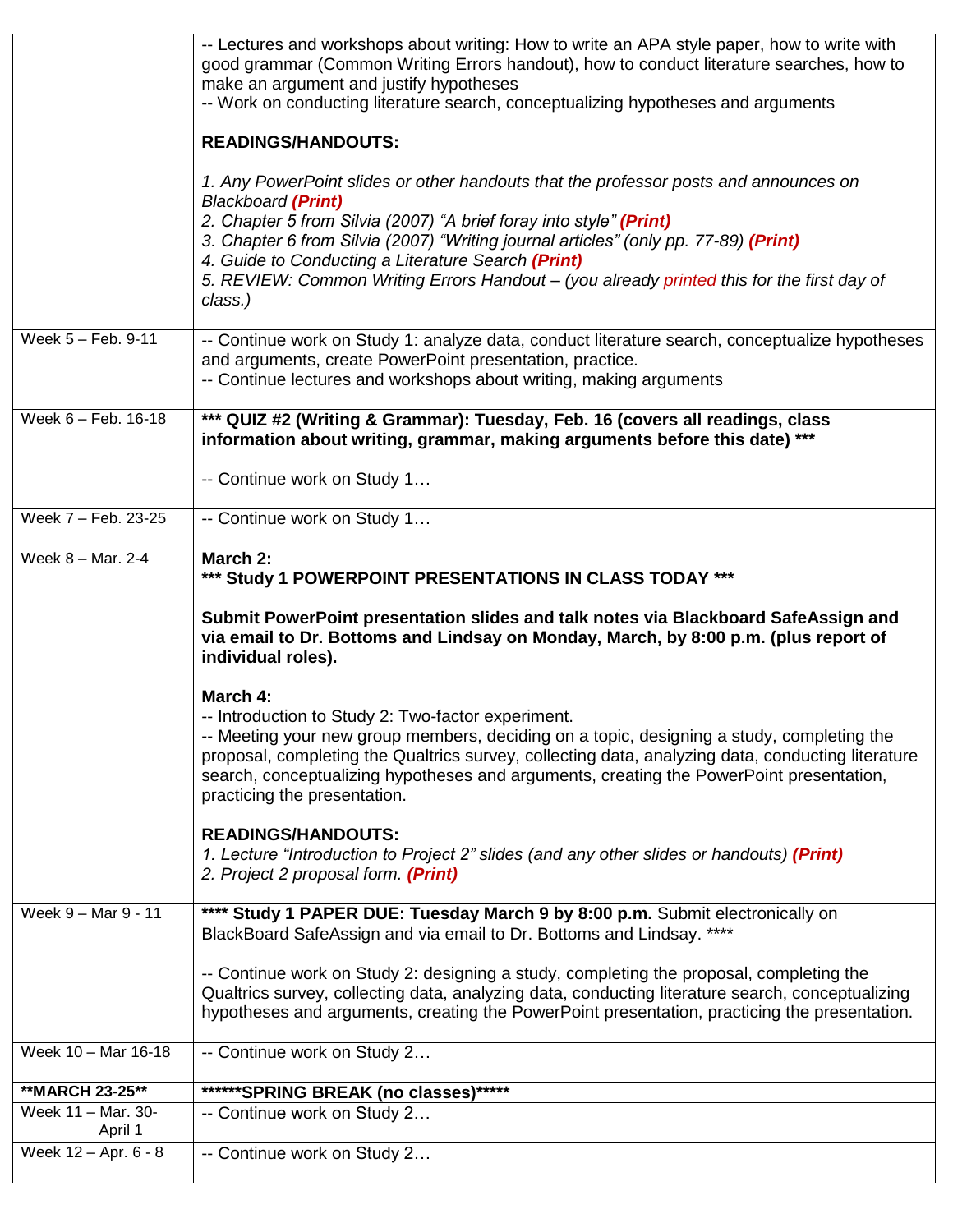|                               | -- Lectures and workshops about writing: How to write an APA style paper, how to write with<br>good grammar (Common Writing Errors handout), how to conduct literature searches, how to<br>make an argument and justify hypotheses<br>-- Work on conducting literature search, conceptualizing hypotheses and arguments                                                                                                                      |
|-------------------------------|----------------------------------------------------------------------------------------------------------------------------------------------------------------------------------------------------------------------------------------------------------------------------------------------------------------------------------------------------------------------------------------------------------------------------------------------|
|                               | <b>READINGS/HANDOUTS:</b>                                                                                                                                                                                                                                                                                                                                                                                                                    |
|                               | 1. Any PowerPoint slides or other handouts that the professor posts and announces on<br><b>Blackboard (Print)</b><br>2. Chapter 5 from Silvia (2007) "A brief foray into style" (Print)<br>3. Chapter 6 from Silvia (2007) "Writing journal articles" (only pp. 77-89) (Print)<br>4. Guide to Conducting a Literature Search (Print)<br>5. REVIEW: Common Writing Errors Handout - (you already printed this for the first day of<br>class.) |
| Week 5 - Feb. 9-11            | -- Continue work on Study 1: analyze data, conduct literature search, conceptualize hypotheses<br>and arguments, create PowerPoint presentation, practice.<br>-- Continue lectures and workshops about writing, making arguments                                                                                                                                                                                                             |
| Week 6 - Feb. 16-18           | *** QUIZ #2 (Writing & Grammar): Tuesday, Feb. 16 (covers all readings, class<br>information about writing, grammar, making arguments before this date) ***                                                                                                                                                                                                                                                                                  |
|                               | -- Continue work on Study 1                                                                                                                                                                                                                                                                                                                                                                                                                  |
| Week 7 - Feb. 23-25           | -- Continue work on Study 1                                                                                                                                                                                                                                                                                                                                                                                                                  |
| Week 8 - Mar. 2-4             | March 2:<br>*** Study 1 POWERPOINT PRESENTATIONS IN CLASS TODAY ***                                                                                                                                                                                                                                                                                                                                                                          |
|                               | Submit PowerPoint presentation slides and talk notes via Blackboard SafeAssign and<br>via email to Dr. Bottoms and Lindsay on Monday, March, by 8:00 p.m. (plus report of<br>individual roles).                                                                                                                                                                                                                                              |
|                               | March 4:<br>-- Introduction to Study 2: Two-factor experiment.<br>-- Meeting your new group members, deciding on a topic, designing a study, completing the<br>proposal, completing the Qualtrics survey, collecting data, analyzing data, conducting literature<br>search, conceptualizing hypotheses and arguments, creating the PowerPoint presentation,<br>practicing the presentation.                                                  |
|                               | <b>READINGS/HANDOUTS:</b><br>1. Lecture "Introduction to Project 2" slides (and any other slides or handouts) (Print)<br>2. Project 2 proposal form. (Print)                                                                                                                                                                                                                                                                                 |
| Week 9 - Mar 9 - 11           | **** Study 1 PAPER DUE: Tuesday March 9 by 8:00 p.m. Submit electronically on<br>BlackBoard SafeAssign and via email to Dr. Bottoms and Lindsay. ****                                                                                                                                                                                                                                                                                        |
|                               | -- Continue work on Study 2: designing a study, completing the proposal, completing the<br>Qualtrics survey, collecting data, analyzing data, conducting literature search, conceptualizing<br>hypotheses and arguments, creating the PowerPoint presentation, practicing the presentation.                                                                                                                                                  |
| Week 10 - Mar 16-18           | -- Continue work on Study 2                                                                                                                                                                                                                                                                                                                                                                                                                  |
| **MARCH 23-25**               | ******SPRING BREAK (no classes)*****                                                                                                                                                                                                                                                                                                                                                                                                         |
| Week 11 - Mar. 30-<br>April 1 | -- Continue work on Study 2                                                                                                                                                                                                                                                                                                                                                                                                                  |
| Week 12 - Apr. 6 - 8          | -- Continue work on Study 2                                                                                                                                                                                                                                                                                                                                                                                                                  |